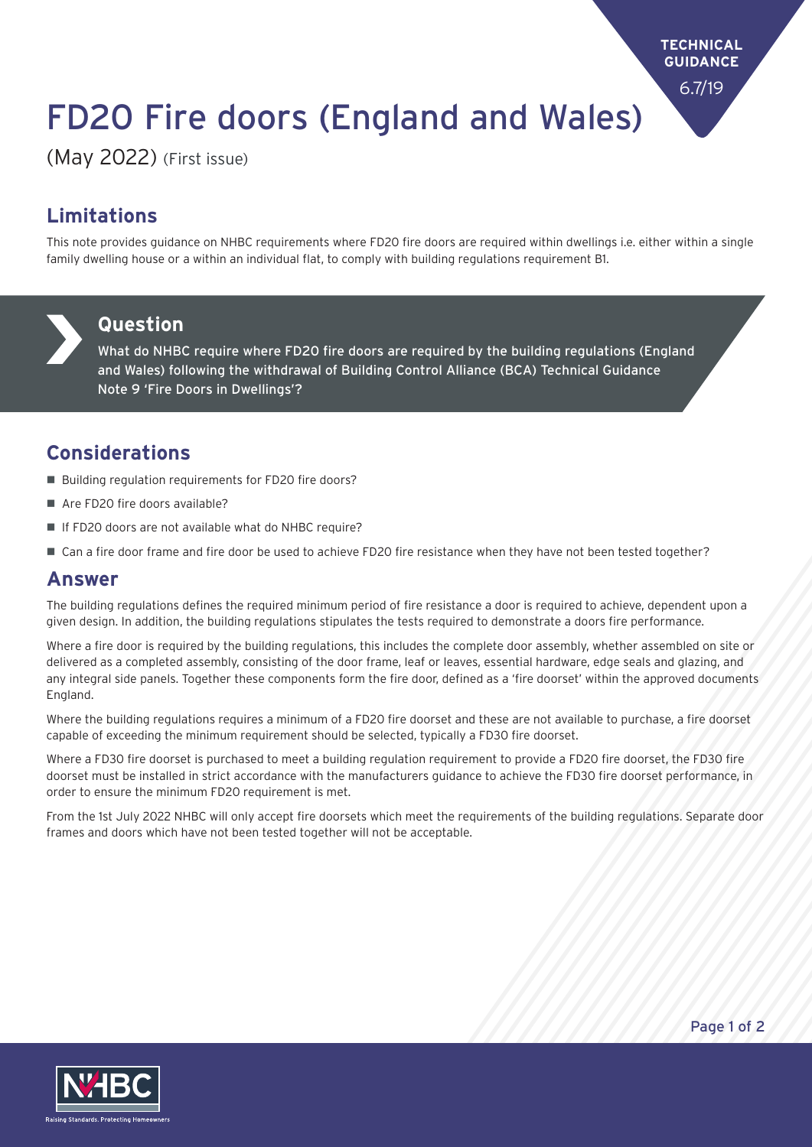**TECHNICAL GUIDANCE** 6.7/19

# FD20 Fire doors (England and Wales)

(May 2022) (First issue)

## **Limitations**

This note provides guidance on NHBC requirements where FD20 fire doors are required within dwellings i.e. either within a single family dwelling house or a within an individual flat, to comply with building regulations requirement B1.



#### **Question**

What do NHBC require where FD20 fire doors are required by the building regulations (England and Wales) following the withdrawal of Building Control Alliance (BCA) Technical Guidance Note 9 'Fire Doors in Dwellings'?

### **Considerations**

- Building regulation requirements for FD20 fire doors?
- $\blacksquare$  Are FD20 fire doors available?
- If FD20 doors are not available what do NHBC require?
- Can a fire door frame and fire door be used to achieve FD20 fire resistance when they have not been tested together?

#### **Answer**

The building regulations defines the required minimum period of fire resistance a door is required to achieve, dependent upon a given design. In addition, the building regulations stipulates the tests required to demonstrate a doors fire performance.

Where a fire door is required by the building regulations, this includes the complete door assembly, whether assembled on site or delivered as a completed assembly, consisting of the door frame, leaf or leaves, essential hardware, edge seals and glazing, and any integral side panels. Together these components form the fire door, defined as a 'fire doorset' within the approved documents England.

Where the building regulations requires a minimum of a FD20 fire doorset and these are not available to purchase, a fire doorset capable of exceeding the minimum requirement should be selected, typically a FD30 fire doorset.

Where a FD30 fire doorset is purchased to meet a building regulation requirement to provide a FD20 fire doorset, the FD30 fire doorset must be installed in strict accordance with the manufacturers guidance to achieve the FD30 fire doorset performance, in order to ensure the minimum FD20 requirement is met.

From the 1st July 2022 NHBC will only accept fire doorsets which meet the requirements of the building regulations. Separate door frames and doors which have not been tested together will not be acceptable.



Page 1 of 2